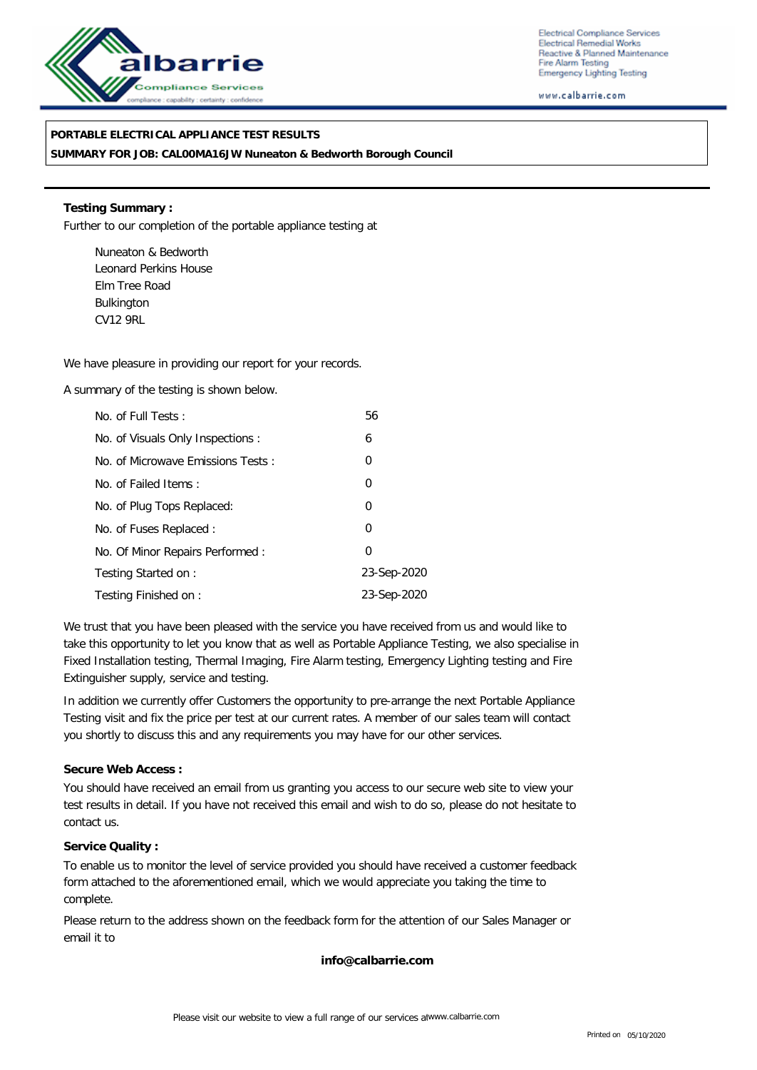

Electrical Compliance Services Electrical Remedial Works Reactive & Planned Maintenance Fire Alarm Testing **Emergency Lighting Testing** 

www.calbarrie.com

## **PORTABLE ELECTRICAL APPLIANCE TEST RESULTS**

**SUMMARY FOR JOB: CAL00MA16JW Nuneaton & Bedworth Borough Council**

**Testing Summary :** Further to our completion of the portable appliance testing at

Nuneaton & Bedworth Leonard Perkins House Elm Tree Road Bulkington CV12 9RL

We have pleasure in providing our report for your records.

A summary of the testing is shown below.

| No. of Full Tests:                | 56          |
|-----------------------------------|-------------|
| No. of Visuals Only Inspections:  | 6           |
| No. of Microwave Emissions Tests: | 0           |
| No. of Failed Items:              | 0           |
| No. of Plug Tops Replaced:        | 0           |
| No. of Fuses Replaced:            | 0           |
| No. Of Minor Repairs Performed:   | 0           |
| Testing Started on:               | 23-Sep-2020 |
| Testing Finished on:              | 23-Sep-2020 |

We trust that you have been pleased with the service you have received from us and would like to take this opportunity to let you know that as well as Portable Appliance Testing, we also specialise in Fixed Installation testing, Thermal Imaging, Fire Alarm testing, Emergency Lighting testing and Fire Extinguisher supply, service and testing.

In addition we currently offer Customers the opportunity to pre-arrange the next Portable Appliance Testing visit and fix the price per test at our current rates. A member of our sales team will contact you shortly to discuss this and any requirements you may have for our other services.

**Secure Web Access :**

You should have received an email from us granting you access to our secure web site to view your test results in detail. If you have not received this email and wish to do so, please do not hesitate to contact us.

**Service Quality :**

To enable us to monitor the level of service provided you should have received a customer feedback form attached to the aforementioned email, which we would appreciate you taking the time to complete.

Please return to the address shown on the feedback form for the attention of our Sales Manager or email it to

**info@calbarrie.com**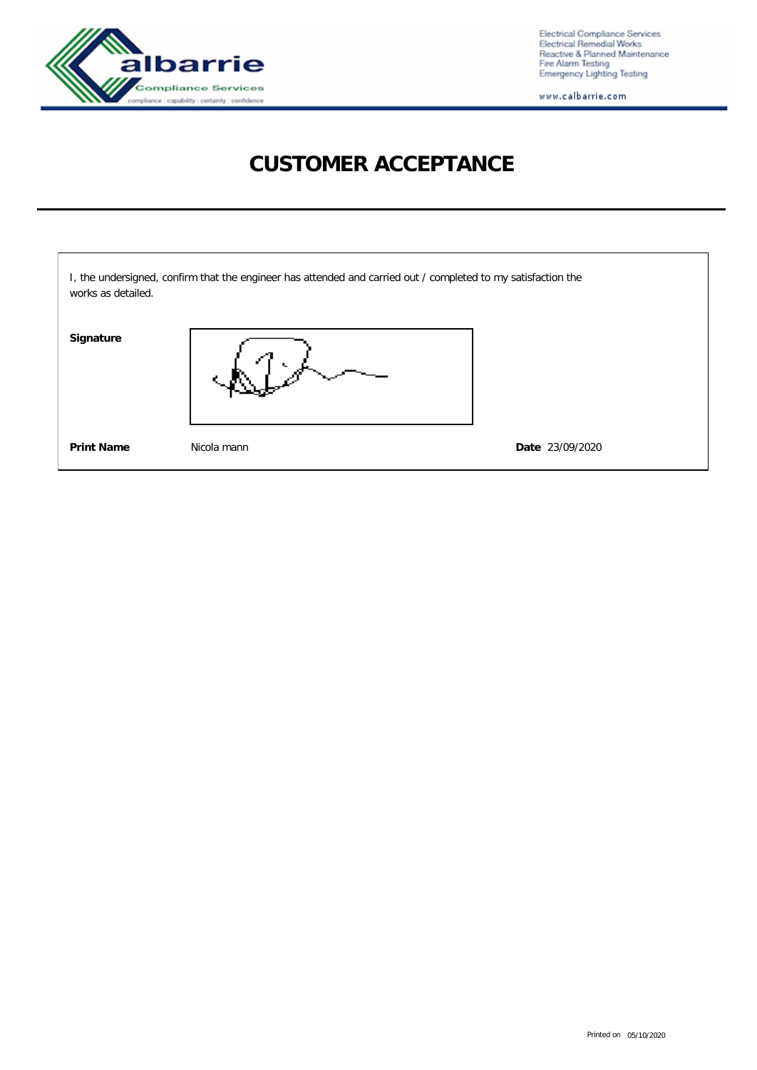

Electrical Compliance Services<br>Electrical Remedial Works<br>Reactive & Planned Maintenance<br>Fire Alarm Testing<br>Emergency Lighting Testing

www.calbarrie.com

## **CUSTOMER ACCEPTANCE**

| works as detailed. | I, the undersigned, confirm that the engineer has attended and carried out / completed to my satisfaction the |                 |
|--------------------|---------------------------------------------------------------------------------------------------------------|-----------------|
| Signature          |                                                                                                               |                 |
| <b>Print Name</b>  | Nicola mann                                                                                                   | Date 23/09/2020 |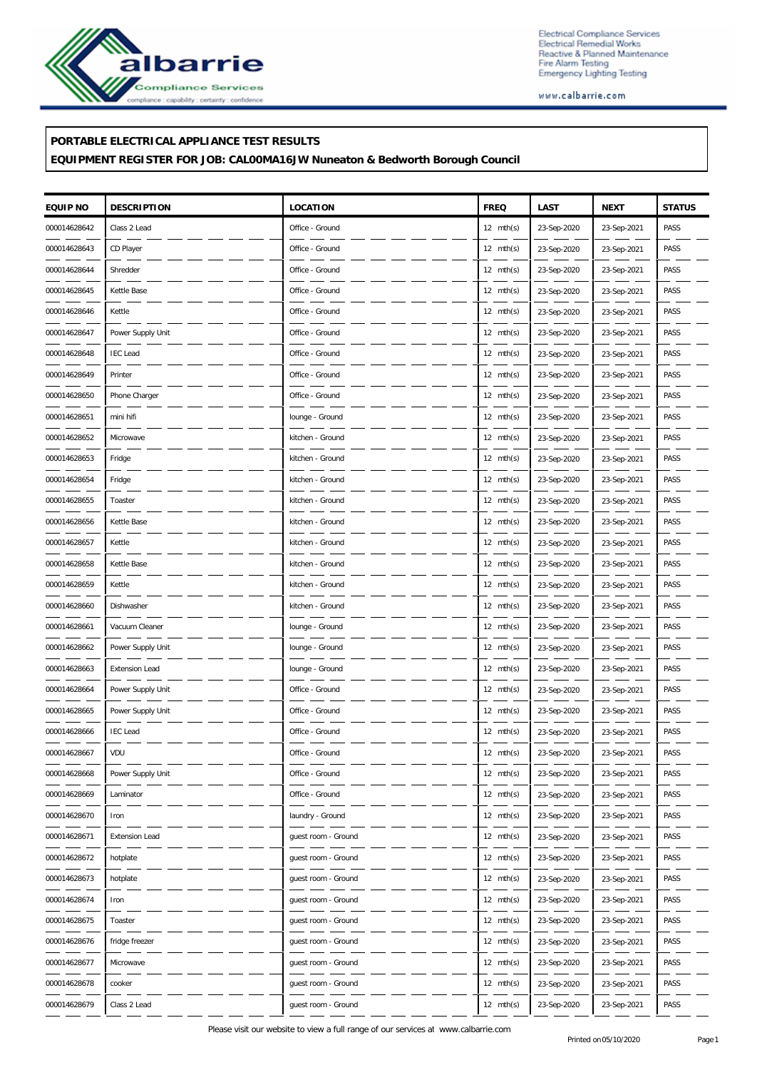

Electrical Compliance Services<br>Electrical Remedial Works<br>Reactive & Planned Maintenance<br>Fire Alarm Testing<br>Emergency Lighting Testing

www.calbarrie.com

## **PORTABLE ELECTRICAL APPLIANCE TEST RESULTS**

**EQUIPMENT REGISTER FOR JOB: CAL00MA16JW Nuneaton & Bedworth Borough Council**

| EQUIP NO     | <b>DESCRIPTION</b>    | LOCATION            | <b>FREQ</b>         | LAST        | <b>NEXT</b> | <b>STATUS</b> |
|--------------|-----------------------|---------------------|---------------------|-------------|-------------|---------------|
| 000014628642 | Class 2 Lead          | Office - Ground     | $12 \text{ mth(s)}$ | 23-Sep-2020 | 23-Sep-2021 | PASS          |
| 000014628643 | CD Player             | Office - Ground     | $12 \text{ mth(s)}$ | 23-Sep-2020 | 23-Sep-2021 | PASS          |
| 000014628644 | Shredder              | Office - Ground     | $12 \text{ mth(s)}$ | 23-Sep-2020 | 23-Sep-2021 | PASS          |
| 000014628645 | Kettle Base           | Office - Ground     | $12 \text{ mth(s)}$ | 23-Sep-2020 | 23-Sep-2021 | PASS          |
| 000014628646 | Kettle                | Office - Ground     | $12 \text{ mth(s)}$ | 23-Sep-2020 | 23-Sep-2021 | PASS          |
| 000014628647 | Power Supply Unit     | Office - Ground     | $12 \text{ mth(s)}$ | 23-Sep-2020 | 23-Sep-2021 | PASS          |
| 000014628648 | <b>IEC</b> Lead       | Office - Ground     | $12 \text{ mth(s)}$ | 23-Sep-2020 | 23-Sep-2021 | PASS          |
| 000014628649 | Printer               | Office - Ground     | $12 \text{ mth(s)}$ | 23-Sep-2020 | 23-Sep-2021 | PASS          |
| 000014628650 | Phone Charger         | Office - Ground     | $12 \text{ mth(s)}$ | 23-Sep-2020 | 23-Sep-2021 | PASS          |
| 000014628651 | mini hifi             | lounge - Ground     | $12 \text{ mth(s)}$ | 23-Sep-2020 | 23-Sep-2021 | PASS          |
| 000014628652 | Microwave             | kitchen - Ground    | $12 \text{ mth(s)}$ | 23-Sep-2020 | 23-Sep-2021 | PASS          |
| 000014628653 | Fridge                | kitchen - Ground    | $12 \text{ mth(s)}$ | 23-Sep-2020 | 23-Sep-2021 | PASS          |
| 000014628654 | Fridge                | kitchen - Ground    | $12 \text{ mth(s)}$ | 23-Sep-2020 | 23-Sep-2021 | PASS          |
| 000014628655 | Toaster               | kitchen - Ground    | $12 \text{ mth(s)}$ | 23-Sep-2020 | 23-Sep-2021 | PASS          |
| 000014628656 | Kettle Base           | kitchen - Ground    | $12 \text{ mth(s)}$ | 23-Sep-2020 | 23-Sep-2021 | PASS          |
| 000014628657 | Kettle                | kitchen - Ground    | $12 \text{ mth(s)}$ | 23-Sep-2020 | 23-Sep-2021 | PASS          |
| 000014628658 | Kettle Base           | kitchen - Ground    | $12 \text{ mth(s)}$ | 23-Sep-2020 | 23-Sep-2021 | PASS          |
| 000014628659 | Kettle                | kitchen - Ground    | $12 \text{ mth(s)}$ | 23-Sep-2020 | 23-Sep-2021 | PASS          |
| 000014628660 | Dishwasher            | kitchen - Ground    | $12 \text{ mth(s)}$ | 23-Sep-2020 | 23-Sep-2021 | PASS          |
| 000014628661 | Vacuum Cleaner        | lounge - Ground     | $12 \text{ mth(s)}$ | 23-Sep-2020 | 23-Sep-2021 | PASS          |
| 000014628662 | Power Supply Unit     | lounge - Ground     | $12 \text{ mth(s)}$ | 23-Sep-2020 | 23-Sep-2021 | PASS          |
| 000014628663 | <b>Extension Lead</b> | lounge - Ground     | $12 \text{ mth(s)}$ | 23-Sep-2020 | 23-Sep-2021 | PASS          |
| 000014628664 | Power Supply Unit     | Office - Ground     | $12 \text{ mth(s)}$ | 23-Sep-2020 | 23-Sep-2021 | PASS          |
| 000014628665 | Power Supply Unit     | Office - Ground     | $12 \text{ mth(s)}$ | 23-Sep-2020 | 23-Sep-2021 | PASS          |
| 000014628666 | <b>IEC Lead</b>       | Office - Ground     | 12 $mth(s)$         | 23-Sep-2020 | 23-Sep-2021 | PASS          |
| 000014628667 | VDU                   | Office - Ground     | $12 \text{ mth(s)}$ | 23-Sep-2020 | 23-Sep-2021 | PASS          |
| 000014628668 | Power Supply Unit     | Office - Ground     | $12 \text{ mth(s)}$ | 23-Sep-2020 | 23-Sep-2021 | PASS          |
| 000014628669 | Laminator             | Office - Ground     | $12 \text{ mth(s)}$ | 23-Sep-2020 | 23-Sep-2021 | PASS          |
| 000014628670 | Iron                  | laundry - Ground    | 12 $mth(s)$         | 23-Sep-2020 | 23-Sep-2021 | PASS          |
| 000014628671 | Extension Lead        | guest room - Ground | $12 \text{ mth(s)}$ | 23-Sep-2020 | 23-Sep-2021 | PASS          |
| 000014628672 | hotplate              | guest room - Ground | $12 \text{ mth(s)}$ | 23-Sep-2020 | 23-Sep-2021 | PASS          |
| 000014628673 | hotplate              | guest room - Ground | $12 \text{ mth(s)}$ | 23-Sep-2020 | 23-Sep-2021 | PASS          |
| 000014628674 | Iron                  | guest room - Ground | 12 $mth(s)$         | 23-Sep-2020 | 23-Sep-2021 | PASS          |
| 000014628675 | Toaster               | guest room - Ground | $12 \text{ mth(s)}$ | 23-Sep-2020 | 23-Sep-2021 | PASS          |
| 000014628676 | fridge freezer        | guest room - Ground | $12 \text{ mth(s)}$ | 23-Sep-2020 | 23-Sep-2021 | PASS          |
| 000014628677 | Microwave             | guest room - Ground | $12 \text{ mth(s)}$ | 23-Sep-2020 | 23-Sep-2021 | PASS          |
| 000014628678 | cooker                | guest room - Ground | 12 $mth(s)$         | 23-Sep-2020 | 23-Sep-2021 | PASS          |
| 000014628679 | Class 2 Lead          | guest room - Ground | $12 \text{ mth(s)}$ | 23-Sep-2020 | 23-Sep-2021 | PASS          |

Please visit our website to view a full range of our services at www.calbarrie.com Printed on05/10/2020 Page 1